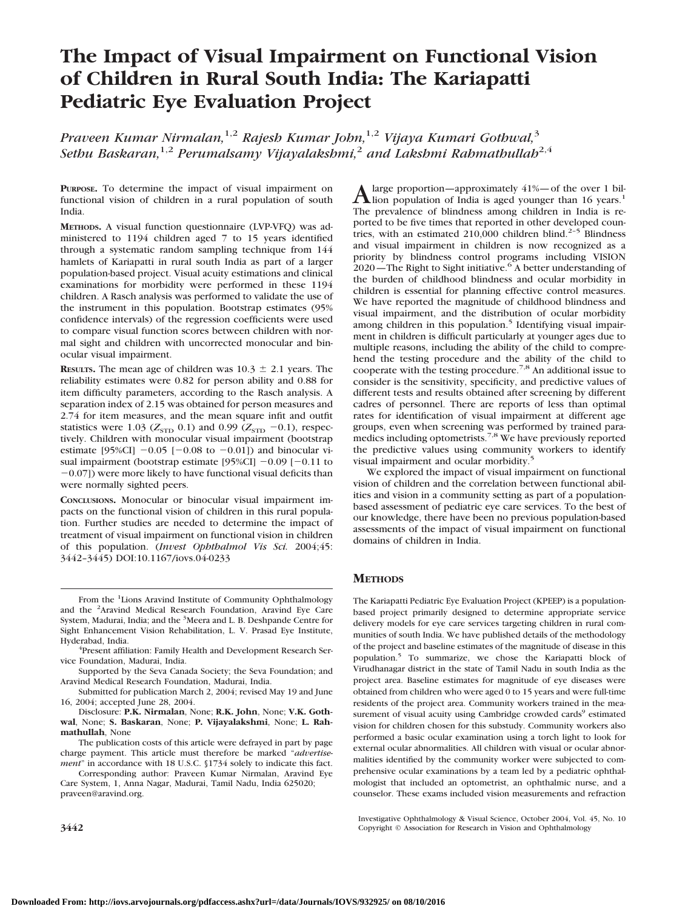# **The Impact of Visual Impairment on Functional Vision of Children in Rural South India: The Kariapatti Pediatric Eye Evaluation Project**

*Praveen Kumar Nirmalan,*1,2 *Rajesh Kumar John,*1,2 *Vijaya Kumari Gothwal,*<sup>3</sup> *Sethu Baskaran,*1,2 *Perumalsamy Vijayalakshmi,*<sup>2</sup> *and Lakshmi Rahmathullah*2,4

**PURPOSE.** To determine the impact of visual impairment on functional vision of children in a rural population of south India.

**METHODS.** A visual function questionnaire (LVP-VFQ) was administered to 1194 children aged 7 to 15 years identified through a systematic random sampling technique from 144 hamlets of Kariapatti in rural south India as part of a larger population-based project. Visual acuity estimations and clinical examinations for morbidity were performed in these 1194 children. A Rasch analysis was performed to validate the use of the instrument in this population. Bootstrap estimates (95% confidence intervals) of the regression coefficients were used to compare visual function scores between children with normal sight and children with uncorrected monocular and binocular visual impairment.

**RESULTS.** The mean age of children was  $10.3 \pm 2.1$  years. The reliability estimates were 0.82 for person ability and 0.88 for item difficulty parameters, according to the Rasch analysis. A separation index of 2.15 was obtained for person measures and 2.74 for item measures, and the mean square infit and outfit statistics were 1.03 ( $Z_{\text{STD}}$  0.1) and 0.99 ( $Z_{\text{STD}}$  -0.1), respectively. Children with monocular visual impairment (bootstrap estimate [95%CI]  $-0.05$  [ $-0.08$  to  $-0.01$ ]) and binocular visual impairment (bootstrap estimate  $[95\%CI] - 0.09$  [ $-0.11$  to -0.07]) were more likely to have functional visual deficits than were normally sighted peers.

**CONCLUSIONS.** Monocular or binocular visual impairment impacts on the functional vision of children in this rural population. Further studies are needed to determine the impact of treatment of visual impairment on functional vision in children of this population. (*Invest Ophthalmol Vis Sci.* 2004;45: 3442–3445) DOI:10.1167/iovs.04-0233

The publication costs of this article were defrayed in part by page charge payment. This article must therefore be marked "*advertisement*" in accordance with 18 U.S.C. §1734 solely to indicate this fact.

Corresponding author: Praveen Kumar Nirmalan, Aravind Eye Care System, 1, Anna Nagar, Madurai, Tamil Nadu, India 625020; praveen@aravind.org.

**Downloaded From: http://iovs.arvojournals.org/pdfaccess.ashx?url=/data/Journals/IOVS/932925/ on 08/10/2016**

A large proportion—approximately  $41\%$ —of the over 1 bil-<br>The normalizer of bilindrens aged younger than 16 years.<sup>1</sup> The prevalence of blindness among children in India is reported to be five times that reported in other developed countries, with an estimated  $210,000$  children blind.<sup>2-5</sup> Blindness and visual impairment in children is now recognized as a priority by blindness control programs including VISION  $2020$ —The Right to Sight initiative.<sup>6</sup> A better understanding of the burden of childhood blindness and ocular morbidity in children is essential for planning effective control measures. We have reported the magnitude of childhood blindness and visual impairment, and the distribution of ocular morbidity among children in this population.<sup>5</sup> Identifying visual impairment in children is difficult particularly at younger ages due to multiple reasons, including the ability of the child to comprehend the testing procedure and the ability of the child to cooperate with the testing procedure.<sup>7,8</sup> An additional issue to consider is the sensitivity, specificity, and predictive values of different tests and results obtained after screening by different cadres of personnel. There are reports of less than optimal rates for identification of visual impairment at different age groups, even when screening was performed by trained paramedics including optometrists.<sup>7,8</sup> We have previously reported the predictive values using community workers to identify visual impairment and ocular morbidity.<sup>5</sup>

We explored the impact of visual impairment on functional vision of children and the correlation between functional abilities and vision in a community setting as part of a populationbased assessment of pediatric eye care services. To the best of our knowledge, there have been no previous population-based assessments of the impact of visual impairment on functional domains of children in India.

# **METHODS**

The Kariapatti Pediatric Eye Evaluation Project (KPEEP) is a populationbased project primarily designed to determine appropriate service delivery models for eye care services targeting children in rural communities of south India. We have published details of the methodology of the project and baseline estimates of the magnitude of disease in this population.5 To summarize, we chose the Kariapatti block of Virudhanagar district in the state of Tamil Nadu in south India as the project area. Baseline estimates for magnitude of eye diseases were obtained from children who were aged 0 to 15 years and were full-time residents of the project area. Community workers trained in the measurement of visual acuity using Cambridge crowded cards<sup>9</sup> estimated vision for children chosen for this substudy. Community workers also performed a basic ocular examination using a torch light to look for external ocular abnormalities. All children with visual or ocular abnormalities identified by the community worker were subjected to comprehensive ocular examinations by a team led by a pediatric ophthalmologist that included an optometrist, an ophthalmic nurse, and a counselor. These exams included vision measurements and refraction

Investigative Ophthalmology & Visual Science, October 2004, Vol. 45, No. 10 **3442** Copyright © Association for Research in Vision and Ophthalmology

From the <sup>1</sup>Lions Aravind Institute of Community Ophthalmology and the <sup>2</sup> Aravind Medical Research Foundation, Aravind Eye Care System, Madurai, India; and the <sup>3</sup>Meera and L. B. Deshpande Centre for Sight Enhancement Vision Rehabilitation, L. V. Prasad Eye Institute, Hyderabad, India. <sup>4</sup>

<sup>&</sup>lt;sup>4</sup>Present affiliation: Family Health and Development Research Service Foundation, Madurai, India.

Supported by the Seva Canada Society; the Seva Foundation; and Aravind Medical Research Foundation, Madurai, India.

Submitted for publication March 2, 2004; revised May 19 and June 16, 2004; accepted June 28, 2004.

Disclosure: **P.K. Nirmalan**, None; **R.K. John**, None; **V.K. Gothwal**, None; **S. Baskaran**, None; **P. Vijayalakshmi**, None; **L. Rahmathullah**, None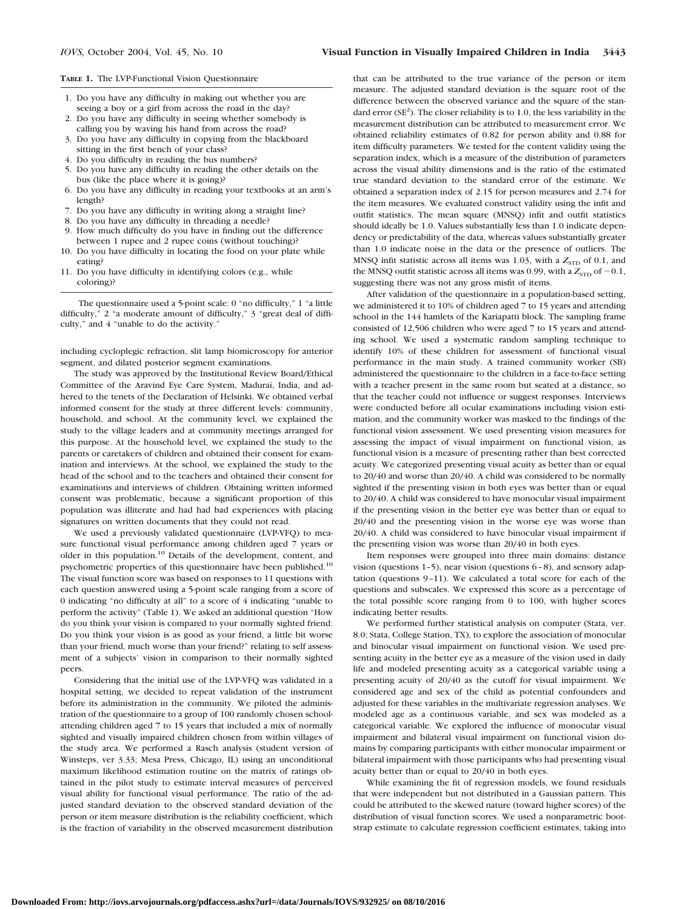### **TABLE 1.** The LVP-Functional Vision Questionnaire

- 1. Do you have any difficulty in making out whether you are seeing a boy or a girl from across the road in the day?
- 2. Do you have any difficulty in seeing whether somebody is calling you by waving his hand from across the road?
- 3. Do you have any difficulty in copying from the blackboard sitting in the first bench of your class?
- 4. Do you difficulty in reading the bus numbers?
- 5. Do you have any difficulty in reading the other details on the bus (like the place where it is going)?
- 6. Do you have any difficulty in reading your textbooks at an arm's length?
- 7. Do you have any difficulty in writing along a straight line?
- 8. Do you have any difficulty in threading a needle?
- 9. How much difficulty do you have in finding out the difference between 1 rupee and 2 rupee coins (without touching)?
- 10. Do you have difficulty in locating the food on your plate while eating?
- 11. Do you have difficulty in identifying colors (e.g., while coloring)?

The questionnaire used a 5-point scale: 0 "no difficulty," 1 "a little difficulty," 2 "a moderate amount of difficulty," 3 "great deal of difficulty," and 4 "unable to do the activity."

including cycloplegic refraction, slit lamp biomicroscopy for anterior segment, and dilated posterior segment examinations.

The study was approved by the Institutional Review Board/Ethical Committee of the Aravind Eye Care System, Madurai, India, and adhered to the tenets of the Declaration of Helsinki. We obtained verbal informed consent for the study at three different levels: community, household, and school. At the community level, we explained the study to the village leaders and at community meetings arranged for this purpose. At the household level, we explained the study to the parents or caretakers of children and obtained their consent for examination and interviews. At the school, we explained the study to the head of the school and to the teachers and obtained their consent for examinations and interviews of children. Obtaining written informed consent was problematic, because a significant proportion of this population was illiterate and had had bad experiences with placing signatures on written documents that they could not read.

We used a previously validated questionnaire (LVP-VFQ) to measure functional visual performance among children aged 7 years or older in this population.10 Details of the development, content, and psychometric properties of this questionnaire have been published.<sup>10</sup> The visual function score was based on responses to 11 questions with each question answered using a 5-point scale ranging from a score of 0 indicating "no difficulty at all" to a score of 4 indicating "unable to perform the activity" (Table 1). We asked an additional question "How do you think your vision is compared to your normally sighted friend: Do you think your vision is as good as your friend, a little bit worse than your friend, much worse than your friend?" relating to self assessment of a subjects' vision in comparison to their normally sighted peers.

Considering that the initial use of the LVP-VFQ was validated in a hospital setting, we decided to repeat validation of the instrument before its administration in the community. We piloted the administration of the questionnaire to a group of 100 randomly chosen schoolattending children aged 7 to 15 years that included a mix of normally sighted and visually impaired children chosen from within villages of the study area. We performed a Rasch analysis (student version of Winsteps, ver 3.33; Mesa Press, Chicago, IL) using an unconditional maximum likelihood estimation routine on the matrix of ratings obtained in the pilot study to estimate interval measures of perceived visual ability for functional visual performance. The ratio of the adjusted standard deviation to the observed standard deviation of the person or item measure distribution is the reliability coefficient, which is the fraction of variability in the observed measurement distribution

**Downloaded From: http://iovs.arvojournals.org/pdfaccess.ashx?url=/data/Journals/IOVS/932925/ on 08/10/2016**

that can be attributed to the true variance of the person or item measure. The adjusted standard deviation is the square root of the difference between the observed variance and the square of the standard error ( $SE<sup>2</sup>$ ). The closer reliability is to 1.0, the less variability in the measurement distribution can be attributed to measurement error. We obtained reliability estimates of 0.82 for person ability and 0.88 for item difficulty parameters. We tested for the content validity using the separation index, which is a measure of the distribution of parameters across the visual ability dimensions and is the ratio of the estimated true standard deviation to the standard error of the estimate. We obtained a separation index of 2.15 for person measures and 2.74 for the item measures. We evaluated construct validity using the infit and outfit statistics. The mean square (MNSQ) infit and outfit statistics should ideally be 1.0. Values substantially less than 1.0 indicate dependency or predictability of the data, whereas values substantially greater than 1.0 indicate noise in the data or the presence of outliers. The MNSQ infit statistic across all items was 1.03, with a  $Z_{\text{STD}}$  of 0.1, and the MNSQ outfit statistic across all items was 0.99, with a  $Z_{\text{STD}}$  of  $-0.1$ , suggesting there was not any gross misfit of items.

After validation of the questionnaire in a population-based setting, we administered it to 10% of children aged 7 to 15 years and attending school in the 144 hamlets of the Kariapatti block. The sampling frame consisted of 12,506 children who were aged 7 to 15 years and attending school. We used a systematic random sampling technique to identify 10% of these children for assessment of functional visual performance in the main study. A trained community worker (SB) administered the questionnaire to the children in a face-to-face setting with a teacher present in the same room but seated at a distance, so that the teacher could not influence or suggest responses. Interviews were conducted before all ocular examinations including vision estimation, and the community worker was masked to the findings of the functional vision assessment. We used presenting vision measures for assessing the impact of visual impairment on functional vision, as functional vision is a measure of presenting rather than best corrected acuity. We categorized presenting visual acuity as better than or equal to 20/40 and worse than 20/40. A child was considered to be normally sighted if the presenting vision in both eyes was better than or equal to 20/40. A child was considered to have monocular visual impairment if the presenting vision in the better eye was better than or equal to 20/40 and the presenting vision in the worse eye was worse than 20/40. A child was considered to have binocular visual impairment if the presenting vision was worse than 20/40 in both eyes.

Item responses were grouped into three main domains: distance vision (questions 1–5), near vision (questions 6–8), and sensory adaptation (questions 9–11). We calculated a total score for each of the questions and subscales. We expressed this score as a percentage of the total possible score ranging from 0 to 100, with higher scores indicating better results.

We performed further statistical analysis on computer (Stata, ver. 8.0; Stata, College Station, TX), to explore the association of monocular and binocular visual impairment on functional vision. We used presenting acuity in the better eye as a measure of the vision used in daily life and modeled presenting acuity as a categorical variable using a presenting acuity of 20/40 as the cutoff for visual impairment. We considered age and sex of the child as potential confounders and adjusted for these variables in the multivariate regression analyses. We modeled age as a continuous variable, and sex was modeled as a categorical variable. We explored the influence of monocular visual impairment and bilateral visual impairment on functional vision domains by comparing participants with either monocular impairment or bilateral impairment with those participants who had presenting visual acuity better than or equal to 20/40 in both eyes.

While examining the fit of regression models, we found residuals that were independent but not distributed in a Gaussian pattern. This could be attributed to the skewed nature (toward higher scores) of the distribution of visual function scores. We used a nonparametric bootstrap estimate to calculate regression coefficient estimates, taking into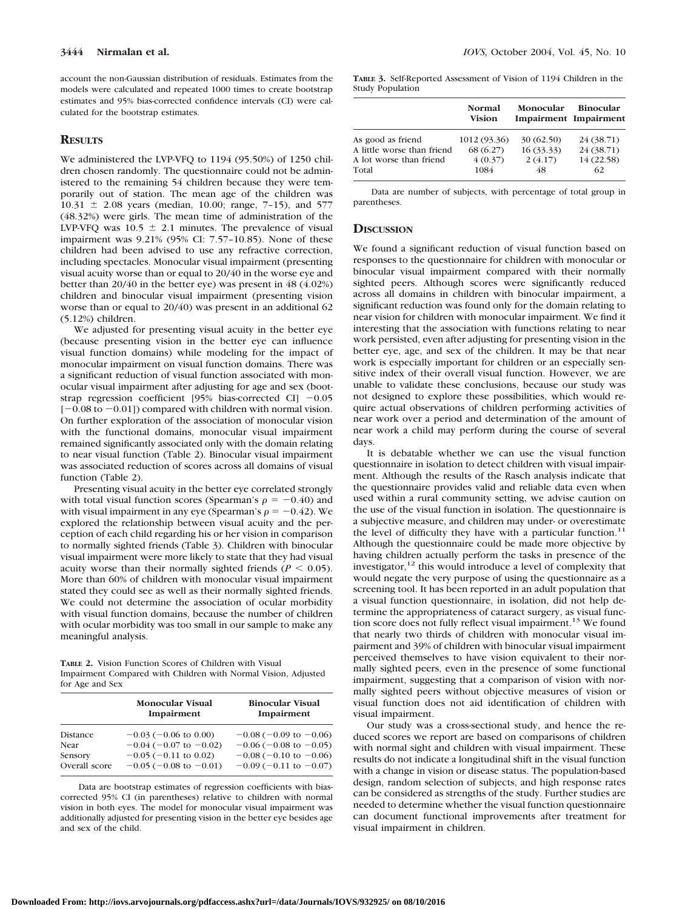account the non-Gaussian distribution of residuals. Estimates from the models were calculated and repeated 1000 times to create bootstrap estimates and 95% bias-corrected confidence intervals (CI) were calculated for the bootstrap estimates.

## **RESULTS**

We administered the LVP-VFQ to 1194 (95.50%) of 1250 children chosen randomly. The questionnaire could not be administered to the remaining 54 children because they were temporarily out of station. The mean age of the children was  $10.31 \pm 2.08$  years (median, 10.00; range, 7-15), and 577 (48.32%) were girls. The mean time of administration of the LVP-VFQ was  $10.5 \pm 2.1$  minutes. The prevalence of visual impairment was 9.21% (95% CI: 7.57–10.85). None of these children had been advised to use any refractive correction, including spectacles. Monocular visual impairment (presenting visual acuity worse than or equal to 20/40 in the worse eye and better than 20/40 in the better eye) was present in 48 (4.02%) children and binocular visual impairment (presenting vision worse than or equal to 20/40) was present in an additional 62 (5.12%) children.

We adjusted for presenting visual acuity in the better eye (because presenting vision in the better eye can influence visual function domains) while modeling for the impact of monocular impairment on visual function domains. There was a significant reduction of visual function associated with monocular visual impairment after adjusting for age and sex (bootstrap regression coefficient [95% bias-corrected CI]  $-0.05$  $[-0.08$  to  $-0.01]$ ) compared with children with normal vision. On further exploration of the association of monocular vision with the functional domains, monocular visual impairment remained significantly associated only with the domain relating to near visual function (Table 2). Binocular visual impairment was associated reduction of scores across all domains of visual function (Table 2).

Presenting visual acuity in the better eye correlated strongly with total visual function scores (Spearman's  $\rho = -0.40$ ) and with visual impairment in any eye (Spearman's  $\rho = -0.42$ ). We explored the relationship between visual acuity and the perception of each child regarding his or her vision in comparison to normally sighted friends (Table 3). Children with binocular visual impairment were more likely to state that they had visual acuity worse than their normally sighted friends ( $P < 0.05$ ). More than 60% of children with monocular visual impairment stated they could see as well as their normally sighted friends. We could not determine the association of ocular morbidity with visual function domains, because the number of children with ocular morbidity was too small in our sample to make any meaningful analysis.

**TABLE 2.** Vision Function Scores of Children with Visual Impairment Compared with Children with Normal Vision, Adjusted for Age and Sex

|                          | <b>Monocular Visual</b><br>Impairment                        | <b>Binocular Visual</b><br>Impairment                |  |
|--------------------------|--------------------------------------------------------------|------------------------------------------------------|--|
| Distance                 | $-0.03$ ( $-0.06$ to 0.00)                                   | $-0.08$ (-0.09 to -0.06)                             |  |
| Near                     | $-0.04$ ( $-0.07$ to $-0.02$ )                               | $-0.06$ ( $-0.08$ to $-0.05$ )                       |  |
| Sensory<br>Overall score | $-0.05$ ( $-0.11$ to 0.02)<br>$-0.05$ ( $-0.08$ to $-0.01$ ) | $-0.08$ (-0.10 to -0.06)<br>$-0.09$ (-0.11 to -0.07) |  |

Data are bootstrap estimates of regression coefficients with biascorrected 95% CI (in parentheses) relative to children with normal vision in both eyes. The model for monocular visual impairment was additionally adjusted for presenting vision in the better eye besides age and sex of the child.

**Downloaded From: http://iovs.arvojournals.org/pdfaccess.ashx?url=/data/Journals/IOVS/932925/ on 08/10/2016**

**TABLE 3.** Self-Reported Assessment of Vision of 1194 Children in the Study Population

|                            | <b>Normal</b><br>Vision | Monocular | <b>Binocular</b><br><b>Impairment</b> Impairment |
|----------------------------|-------------------------|-----------|--------------------------------------------------|
| As good as friend          | 1012 (93.36)            | 30(62.50) | 24 (38.71)                                       |
| A little worse than friend | 68(6.27)                | 16(33.33) | 24 (38.71)                                       |
| A lot worse than friend    | 4(0.37)                 | 2(4.17)   | 14 (22.58)                                       |
| Total                      | 1084                    | 48        | 62.                                              |

Data are number of subjects, with percentage of total group in parentheses.

#### **DISCUSSION**

We found a significant reduction of visual function based on responses to the questionnaire for children with monocular or binocular visual impairment compared with their normally sighted peers. Although scores were significantly reduced across all domains in children with binocular impairment, a significant reduction was found only for the domain relating to near vision for children with monocular impairment. We find it interesting that the association with functions relating to near work persisted, even after adjusting for presenting vision in the better eye, age, and sex of the children. It may be that near work is especially important for children or an especially sensitive index of their overall visual function. However, we are unable to validate these conclusions, because our study was not designed to explore these possibilities, which would require actual observations of children performing activities of near work over a period and determination of the amount of near work a child may perform during the course of several days.

It is debatable whether we can use the visual function questionnaire in isolation to detect children with visual impairment. Although the results of the Rasch analysis indicate that the questionnaire provides valid and reliable data even when used within a rural community setting, we advise caution on the use of the visual function in isolation. The questionnaire is a subjective measure, and children may under- or overestimate the level of difficulty they have with a particular function.<sup>11</sup> Although the questionnaire could be made more objective by having children actually perform the tasks in presence of the investigator, $12$  this would introduce a level of complexity that would negate the very purpose of using the questionnaire as a screening tool. It has been reported in an adult population that a visual function questionnaire, in isolation, did not help determine the appropriateness of cataract surgery, as visual function score does not fully reflect visual impairment.<sup>13</sup> We found that nearly two thirds of children with monocular visual impairment and 39% of children with binocular visual impairment perceived themselves to have vision equivalent to their normally sighted peers, even in the presence of some functional impairment, suggesting that a comparison of vision with normally sighted peers without objective measures of vision or visual function does not aid identification of children with visual impairment.

Our study was a cross-sectional study, and hence the reduced scores we report are based on comparisons of children with normal sight and children with visual impairment. These results do not indicate a longitudinal shift in the visual function with a change in vision or disease status. The population-based design, random selection of subjects, and high response rates can be considered as strengths of the study. Further studies are needed to determine whether the visual function questionnaire can document functional improvements after treatment for visual impairment in children.